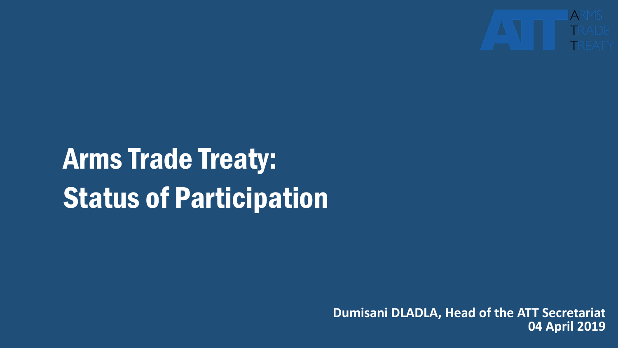

# Arms Trade Treaty: Status of Participation

**Dumisani DLADLA, Head of the ATT Secretariat 04 April 2019**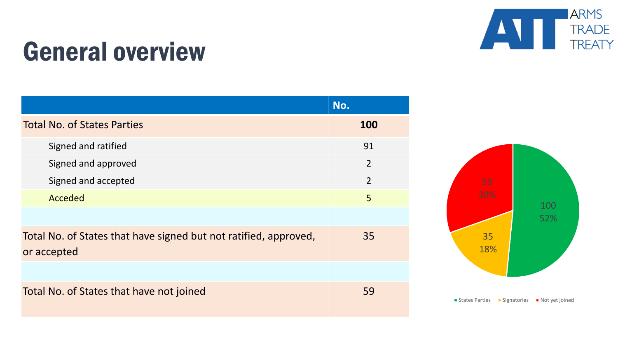

## General overview

|                                                                                 | No.            |
|---------------------------------------------------------------------------------|----------------|
| <b>Total No. of States Parties</b>                                              | 100            |
| Signed and ratified                                                             | 91             |
| Signed and approved                                                             | $\overline{2}$ |
| Signed and accepted                                                             | $\overline{2}$ |
| Acceded                                                                         | 5              |
|                                                                                 |                |
| Total No. of States that have signed but not ratified, approved,<br>or accepted | 35             |
|                                                                                 |                |
| Total No. of States that have not joined                                        | 59             |

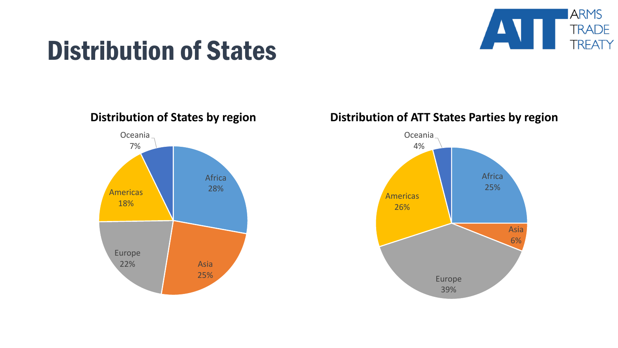

## Distribution of States

Africa 28% Asia 25% Europe 22% Americas 18% Oceania 7%

#### **Distribution of States by region Distribution of ATT States Parties by region**

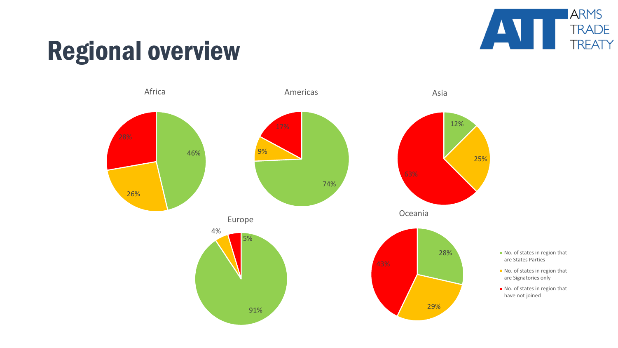

## Regional overview

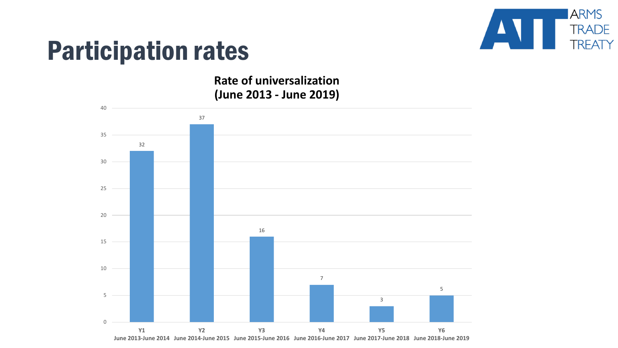

### Participation rates

**Rate of universalization (June 2013 - June 2019)**